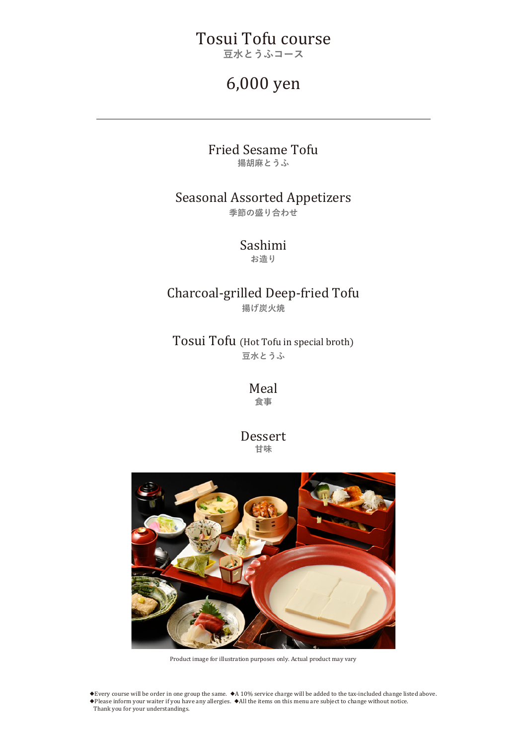# Tosui Tofu course

**豆水とうふコース**

# 6,000 yen

#### Fried Sesame Tofu **揚胡麻とうふ**

### Seasonal Assorted Appetizers **季節の盛り合わせ**

Sashimi

**お造り**

### Charcoal-grilled Deep-fried Tofu **揚げ炭火焼**

Tosui Tofu (Hot Tofu in special broth) **豆水とうふ**

> Meal **食事**

Dessert **甘味**



Product image for illustration purposes only. Actual product may vary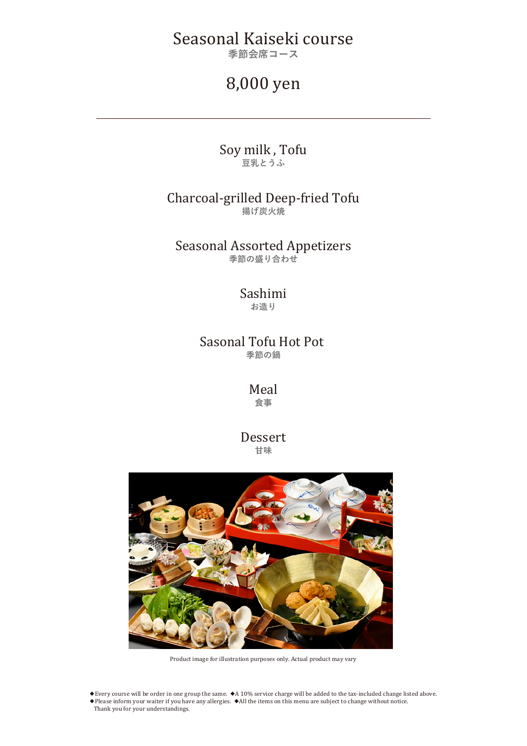# Seasonal Kaiseki course

**季節会席コース**

## 8,000 yen

Soy milk , Tofu **豆乳とうふ**

### Charcoal-grilled Deep-fried Tofu **揚げ炭火焼**

Seasonal Assorted Appetizers **季節の盛り合わせ**

#### Sashimi **お造り**

### Sasonal Tofu Hot Pot **季節の鍋**

Meal **食事**

Dessert **甘味**



Product image for illustration purposes only. Actual product may vary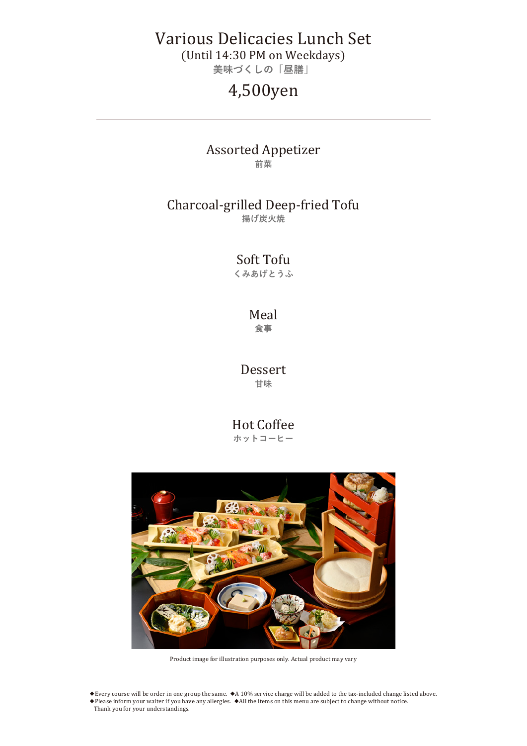# Various Delicacies Lunch Set

(Until 14:30 PM on Weekdays)

**美味づくしの「昼膳」**

# 4,500yen

#### Assorted Appetizer **前菜**

## Charcoal-grilled Deep-fried Tofu

**揚げ炭火焼**

Soft Tofu **くみあげとうふ**

#### Meal **食事**

Dessert **甘味**

Hot Coffee **ホットコーヒー**



Product image for illustration purposes only. Actual product may vary